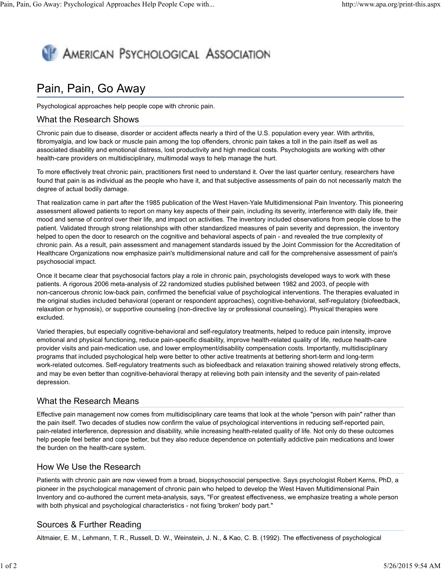# **AMERICAN PSYCHOLOGICAL ASSOCIATION**

# Pain, Pain, Go Away

Psychological approaches help people cope with chronic pain.

#### What the Research Shows

Chronic pain due to disease, disorder or accident affects nearly a third of the U.S. population every year. With arthritis, fibromyalgia, and low back or muscle pain among the top offenders, chronic pain takes a toll in the pain itself as well as associated disability and emotional distress, lost productivity and high medical costs. Psychologists are working with other health-care providers on multidisciplinary, multimodal ways to help manage the hurt.

To more effectively treat chronic pain, practitioners first need to understand it. Over the last quarter century, researchers have found that pain is as individual as the people who have it, and that subjective assessments of pain do not necessarily match the degree of actual bodily damage.

That realization came in part after the 1985 publication of the West Haven-Yale Multidimensional Pain Inventory. This pioneering assessment allowed patients to report on many key aspects of their pain, including its severity, interference with daily life, their mood and sense of control over their life, and impact on activities. The inventory included observations from people close to the patient. Validated through strong relationships with other standardized measures of pain severity and depression, the inventory helped to open the door to research on the cognitive and behavioral aspects of pain - and revealed the true complexity of chronic pain. As a result, pain assessment and management standards issued by the Joint Commission for the Accreditation of Healthcare Organizations now emphasize pain's multidimensional nature and call for the comprehensive assessment of pain's psychosocial impact.

Once it became clear that psychosocial factors play a role in chronic pain, psychologists developed ways to work with these patients. A rigorous 2006 meta-analysis of 22 randomized studies published between 1982 and 2003, of people with non-cancerous chronic low-back pain, confirmed the beneficial value of psychological interventions. The therapies evaluated in the original studies included behavioral (operant or respondent approaches), cognitive-behavioral, self-regulatory (biofeedback, relaxation or hypnosis), or supportive counseling (non-directive lay or professional counseling). Physical therapies were excluded.

Varied therapies, but especially cognitive-behavioral and self-regulatory treatments, helped to reduce pain intensity, improve emotional and physical functioning, reduce pain-specific disability, improve health-related quality of life, reduce health-care provider visits and pain-medication use, and lower employment/disability compensation costs. Importantly, multidisciplinary programs that included psychological help were better to other active treatments at bettering short-term and long-term work-related outcomes. Self-regulatory treatments such as biofeedback and relaxation training showed relatively strong effects, and may be even better than cognitive-behavioral therapy at relieving both pain intensity and the severity of pain-related depression.

## What the Research Means

Effective pain management now comes from multidisciplinary care teams that look at the whole "person with pain" rather than the pain itself. Two decades of studies now confirm the value of psychological interventions in reducing self-reported pain, pain-related interference, depression and disability, while increasing health-related quality of life. Not only do these outcomes help people feel better and cope better, but they also reduce dependence on potentially addictive pain medications and lower the burden on the health-care system.

#### How We Use the Research

Patients with chronic pain are now viewed from a broad, biopsychosocial perspective. Says psychologist Robert Kerns, PhD, a pioneer in the psychological management of chronic pain who helped to develop the West Haven Multidimensional Pain Inventory and co-authored the current meta-analysis, says, "For greatest effectiveness, we emphasize treating a whole person with both physical and psychological characteristics - not fixing 'broken' body part."

## Sources & Further Reading

Altmaier, E. M., Lehmann, T. R., Russell, D. W., Weinstein, J. N., & Kao, C. B. (1992). The effectiveness of psychological